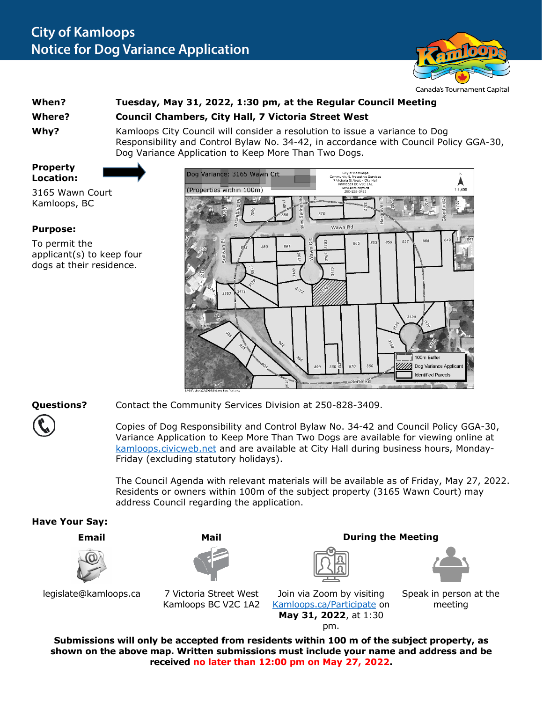

## **When? Tuesday, May 31, 2022, 1:30 pm, at the Regular Council Meeting Where? Council Chambers, City Hall, 7 Victoria Street West**

**Why?** Kamloops City Council will consider a resolution to issue a variance to Dog Responsibility and Control Bylaw No. 34-42, in accordance with Council Policy GGA-30, Dog Variance Application to Keep More Than Two Dogs.

**Property Location:**



3165 Wawn Court Kamloops, BC

## **Purpose:**

To permit the applicant(s) to keep four dogs at their residence.



**Questions?** Contact the Community Services Division at 250-828-3409.

Copies of Dog Responsibility and Control Bylaw No. 34-42 and Council Policy GGA-30, Variance Application to Keep More Than Two Dogs are available for viewing online at [kamloops.civicweb.net](https://kamloops.civicweb.net/filepro/documents/) and are available at City Hall during business hours, Monday-Friday (excluding statutory holidays).

The Council Agenda with relevant materials will be available as of Friday, May 27, 2022. Residents or owners within 100m of the subject property (3165 Wawn Court) may address Council regarding the application.



**Submissions will only be accepted from residents within 100 m of the subject property, as shown on the above map. Written submissions must include your name and address and be received no later than 12:00 pm on May 27, 2022.**